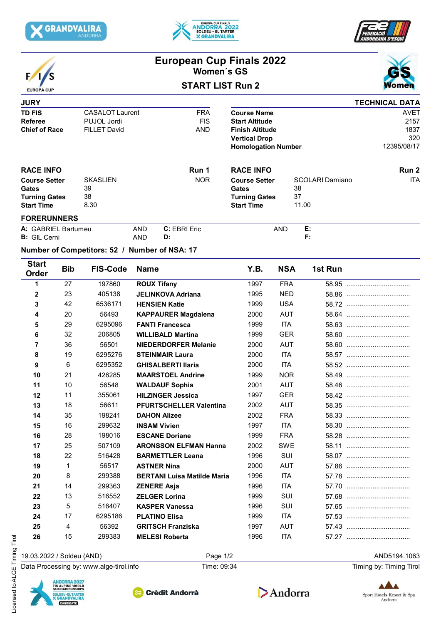







# **European Cup Finals 2022 Women´s GS**





### **JURY TD FIS** CASALOT Laurent **FRA**<br> **Referee** PUJOL Jordi **FIS PUJOL Jordi<br>FILLET David Chief of Race** FILLET David **AND FORERUNNERS Run 2 Course Setter Gates Turning Gates Start Time SKASLIEN** 39 38 8.30 NOR Course Setter SCOLARI Damiano 38 ITA 11.00 37 **TECHNICAL DATA Course Name Start Altitude Finish Altitude Vertical Drop Run 1 Homologation Number** AVET 2157 1837 320 12395/08/17 RACE INFO **RACE INFO RACE INFO Course Setter Gates Turning Gates Start Time**

|  | A: GABRIEL Bartumeu | <b>AND</b> | Fric<br>ĸк | AND | . . |  |  |
|--|---------------------|------------|------------|-----|-----|--|--|
|  | <b>B:</b> GIL Cerni | AND        |            |     |     |  |  |

## **Number of Competitors: 52 / Number of NSA: 17**

| <b>Start</b><br><b>Order</b> | <b>Bib</b>     | <b>FIS-Code</b> | <b>Name</b>                        | Y.B. | <b>NSA</b> | 1st Run |
|------------------------------|----------------|-----------------|------------------------------------|------|------------|---------|
| 1                            | 27             | 197860          | <b>ROUX Tifany</b>                 | 1997 | <b>FRA</b> |         |
| $\mathbf{2}$                 | 23             | 405138          | <b>JELINKOVA Adriana</b>           | 1995 | <b>NED</b> |         |
| 3                            | 42             | 6536171         | <b>HENSIEN Katie</b>               | 1999 | <b>USA</b> |         |
| 4                            | 20             | 56493           | <b>KAPPAURER Magdalena</b>         | 2000 | <b>AUT</b> |         |
| 5                            | 29             | 6295096         | <b>FANTI Francesca</b>             | 1999 | <b>ITA</b> |         |
| 6                            | 32             | 206805          | <b>WILLIBALD Martina</b>           | 1999 | <b>GER</b> |         |
| 7                            | 36             | 56501           | <b>NIEDERDORFER Melanie</b>        | 2000 | <b>AUT</b> |         |
| 8                            | 19             | 6295276         | <b>STEINMAIR Laura</b>             | 2000 | <b>ITA</b> |         |
| 9                            | 6              | 6295352         | <b>GHISALBERTI Ilaria</b>          | 2000 | <b>ITA</b> |         |
| 10                           | 21             | 426285          | <b>MAARSTOEL Andrine</b>           | 1999 | <b>NOR</b> |         |
| 11                           | 10             | 56548           | <b>WALDAUF Sophia</b>              | 2001 | <b>AUT</b> |         |
| 12                           | 11             | 355061          | <b>HILZINGER Jessica</b>           | 1997 | <b>GER</b> |         |
| 13                           | 18             | 56611           | <b>PFURTSCHELLER Valentina</b>     | 2002 | <b>AUT</b> |         |
| 14                           | 35             | 198241          | <b>DAHON Alizee</b>                | 2002 | <b>FRA</b> |         |
| 15                           | 16             | 299632          | <b>INSAM Vivien</b>                | 1997 | <b>ITA</b> |         |
| 16                           | 28             | 198016          | <b>ESCANE Doriane</b>              | 1999 | <b>FRA</b> |         |
| 17                           | 25             | 507109          | <b>ARONSSON ELFMAN Hanna</b>       | 2002 | <b>SWE</b> |         |
| 18                           | 22             | 516428          | <b>BARMETTLER Leana</b>            | 1996 | SUI        |         |
| 19                           | $\mathbf{1}$   | 56517           | <b>ASTNER Nina</b>                 | 2000 | <b>AUT</b> |         |
| 20                           | 8              | 299388          | <b>BERTANI Luisa Matilde Maria</b> | 1996 | <b>ITA</b> |         |
| 21                           | 14             | 299363          | <b>ZENERE Asja</b>                 | 1996 | <b>ITA</b> |         |
| 22                           | 13             | 516552          | <b>ZELGER Lorina</b>               | 1999 | <b>SUI</b> |         |
| 23                           | 5              | 516407          | <b>KASPER Vanessa</b>              | 1996 | SUI        |         |
| 24                           | 17             | 6295186         | <b>PLATINO Elisa</b>               | 1999 | <b>ITA</b> |         |
| 25                           | $\overline{4}$ | 56392           | <b>GRITSCH Franziska</b>           | 1997 | <b>AUT</b> |         |
| 26                           | 15             | 299383          | <b>MELESI Roberta</b>              | 1996 | ITA        |         |
|                              |                |                 |                                    |      |            |         |